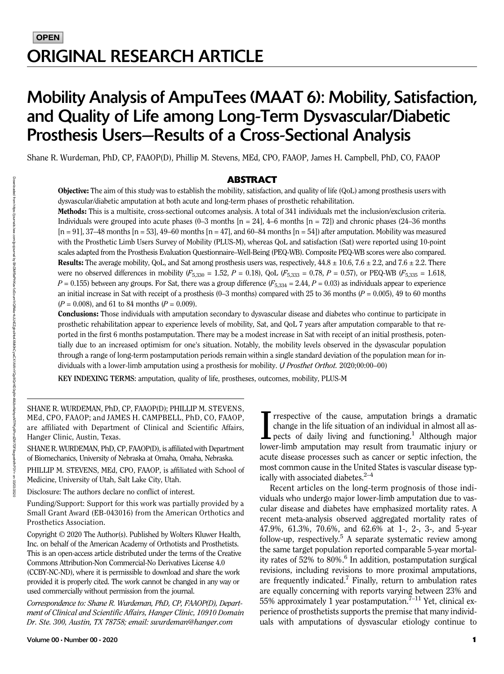# Mobility Analysis of AmpuTees (MAAT 6): Mobility, Satisfaction, and Quality of Life among Long-Term Dysvascular/Diabetic Prosthesis Users—Results of a Cross-Sectional Analysis

Shane R. Wurdeman, PhD, CP, FAAOP(D), Phillip M. Stevens, MEd, CPO, FAAOP, James H. Campbell, PhD, CO, FAAOP

#### ABSTRACT

Objective: The aim of this study was to establish the mobility, satisfaction, and quality of life (QoL) among prosthesis users with dysvascular/diabetic amputation at both acute and long-term phases of prosthetic rehabilitation.

Methods: This is a multisite, cross-sectional outcomes analysis. A total of 341 individuals met the inclusion/exclusion criteria. Individuals were grouped into acute phases (0–3 months  $[n = 24]$ , 4–6 months  $[n = 72]$ ) and chronic phases (24–36 months  $[n = 91]$ , 37–48 months  $[n = 53]$ , 49–60 months  $[n = 47]$ , and 60–84 months  $[n = 54]$ ) after amputation. Mobility was measured with the Prosthetic Limb Users Survey of Mobility (PLUS-M), whereas QoL and satisfaction (Sat) were reported using 10-point scales adapted from the Prosthesis Evaluation Questionnaire–Well-Being (PEQ-WB). Composite PEQ-WB scores were also compared. **Results:** The average mobility, QoL, and Sat among prosthesis users was, respectively,  $44.8 \pm 10.6$ ,  $7.6 \pm 2.2$ , and  $7.6 \pm 2.2$ . There were no observed differences in mobility  $(F_{5,330} = 1.52, P = 0.18)$ , QoL  $(F_{5,333} = 0.78, P = 0.57)$ , or PEQ-WB  $(F_{5,335} = 1.618, P_{5,335} = 1.618, P_{5,335} = 1.618, P_{5,335} = 1.618, P_{5,335} = 1.618$  $P = 0.155$ ) between any groups. For Sat, there was a group difference  $(F_{5,334} = 2.44, P = 0.03)$  as individuals appear to experience an initial increase in Sat with receipt of a prosthesis (0–3 months) compared with 25 to 36 months ( $P = 0.005$ ), 49 to 60 months  $(P = 0.008)$ , and 61 to 84 months  $(P = 0.009)$ .

Conclusions: Those individuals with amputation secondary to dysvascular disease and diabetes who continue to participate in prosthetic rehabilitation appear to experience levels of mobility, Sat, and QoL 7 years after amputation comparable to that reported in the first 6 months postamputation. There may be a modest increase in Sat with receipt of an initial prosthesis, potentially due to an increased optimism for one's situation. Notably, the mobility levels observed in the dysvascular population through a range of long-term postamputation periods remain within a single standard deviation of the population mean for individuals with a lower-limb amputation using a prosthesis for mobility. (J Prosthet Orthot. 2020;00:00–00)

KEY INDEXING TERMS: amputation, quality of life, prostheses, outcomes, mobility, PLUS-M

SHANE R. WURDEMAN, PhD, CP, FAAOP(D); PHILLIP M. STEVENS, MEd, CPO, FAAOP; and JAMES H. CAMPBELL, PhD, CO, FAAOP, are affiliated with Department of Clinical and Scientific Affairs, Hanger Clinic, Austin, Texas.

SHANE R. WURDEMAN, PhD, CP, FAAOP(D), is affiliated with Department of Biomechanics, University of Nebraska at Omaha, Omaha, Nebraska.

PHILLIP M. STEVENS, MEd, CPO, FAAOP, is affiliated with School of Medicine, University of Utah, Salt Lake City, Utah.

Disclosure: The authors declare no conflict of interest.

Funding/Support: Support for this work was partially provided by a Small Grant Award (EB-043016) from the American Orthotics and Prosthetics Association.

Copyright © 2020 The Author(s). Published by Wolters Kluwer Health, Inc. on behalf of the American Academy of Orthotists and Prosthetists. This is an open-access article distributed under the terms of the [Creative](http://creativecommons.org/licenses/by-nc-nd/4.0/) [Commons Attribution-Non Commercial-No Derivatives License 4.0](http://creativecommons.org/licenses/by-nc-nd/4.0/) [\(CCBY-NC-ND\)](http://creativecommons.org/licenses/by-nc-nd/4.0/), where it is permissible to download and share the work provided it is properly cited. The work cannot be changed in any way or used commercially without permission from the journal.

Correspondence to: Shane R. Wurdeman, PhD, CP, FAAOP(D), Department of Clinical and Scientific Affairs, Hanger Clinic, 10910 Domain Dr. Ste. 300, Austin, TX 78758; email: [swurdeman@hanger.com](mailto:)

T rrespective of the cause, amputation brings a dramatic change in the life situation of an individual in almost all aspects of daily living and functioning.<sup>1</sup> Although major lower-limb amputation may result from traumati rrespective of the cause, amputation brings a dramatic change in the life situation of an individual in almost all aspects of daily living and functioning.<sup>1</sup> Although major acute disease processes such as cancer or septic infection, the most common cause in the United States is vascular disease typically with associated diabetes. $2-4$ 

Recent articles on the long-term prognosis of those individuals who undergo major lower-limb amputation due to vascular disease and diabetes have emphasized mortality rates. A recent meta-analysis observed aggregated mortality rates of 47.9%, 61.3%, 70.6%, and 62.6% at 1-, 2-, 3-, and 5-year follow-up, respectively.5 A separate systematic review among the same target population reported comparable 5-year mortality rates of  $52\%$  to  $80\%$ .<sup>6</sup> In addition, postamputation surgical revisions, including revisions to more proximal amputations, are frequently indicated.<sup>7</sup> Finally, return to ambulation rates are equally concerning with reports varying between 23% and 55% approximately 1 year postamputation.<sup> $7-11$ </sup> Yet, clinical experience of prosthetists supports the premise that many individuals with amputations of dysvascular etiology continue to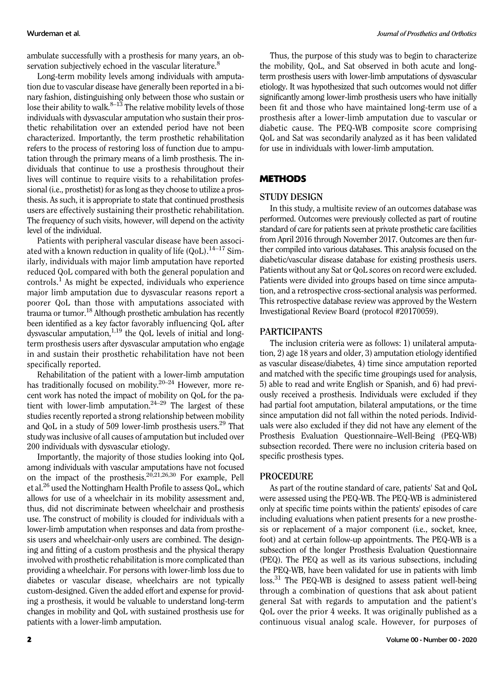ambulate successfully with a prosthesis for many years, an observation subjectively echoed in the vascular literature.<sup>8</sup>

Long-term mobility levels among individuals with amputation due to vascular disease have generally been reported in a binary fashion, distinguishing only between those who sustain or lose their ability to walk. $8-13$  The relative mobility levels of those individuals with dysvascular amputation who sustain their prosthetic rehabilitation over an extended period have not been characterized. Importantly, the term prosthetic rehabilitation refers to the process of restoring loss of function due to amputation through the primary means of a limb prosthesis. The individuals that continue to use a prosthesis throughout their lives will continue to require visits to a rehabilitation professional (i.e., prosthetist) for as long as they choose to utilize a prosthesis. As such, it is appropriate to state that continued prosthesis users are effectively sustaining their prosthetic rehabilitation. The frequency of such visits, however, will depend on the activity level of the individual.

Patients with peripheral vascular disease have been associated with a known reduction in quality of life  $(QoL)$ .<sup>14-17</sup> Similarly, individuals with major limb amputation have reported reduced QoL compared with both the general population and controls.<sup>1</sup> As might be expected, individuals who experience major limb amputation due to dysvascular reasons report a poorer QoL than those with amputations associated with trauma or tumor.<sup>18</sup> Although prosthetic ambulation has recently been identified as a key factor favorably influencing QoL after dysvascular amputation, $1,19$  the QoL levels of initial and longterm prosthesis users after dysvascular amputation who engage in and sustain their prosthetic rehabilitation have not been specifically reported.

Rehabilitation of the patient with a lower-limb amputation has traditionally focused on mobility.<sup>20–24</sup> However, more recent work has noted the impact of mobility on QoL for the patient with lower-limb amputation. $24-29$  The largest of these studies recently reported a strong relationship between mobility and QoL in a study of 509 lower-limb prosthesis users.<sup>29</sup> That study was inclusive of all causes of amputation but included over 200 individuals with dysvascular etiology.

Importantly, the majority of those studies looking into QoL among individuals with vascular amputations have not focused on the impact of the prosthesis.20,21,26,30 For example, Pell et al.26 used the Nottingham Health Profile to assess QoL, which allows for use of a wheelchair in its mobility assessment and, thus, did not discriminate between wheelchair and prosthesis use. The construct of mobility is clouded for individuals with a lower-limb amputation when responses and data from prosthesis users and wheelchair-only users are combined. The designing and fitting of a custom prosthesis and the physical therapy involved with prosthetic rehabilitation is more complicated than providing a wheelchair. For persons with lower-limb loss due to diabetes or vascular disease, wheelchairs are not typically custom-designed. Given the added effort and expense for providing a prosthesis, it would be valuable to understand long-term changes in mobility and QoL with sustained prosthesis use for patients with a lower-limb amputation.

Thus, the purpose of this study was to begin to characterize the mobility, QoL, and Sat observed in both acute and longterm prosthesis users with lower-limb amputations of dysvascular etiology. It was hypothesized that such outcomes would not differ significantly among lower-limb prosthesis users who have initially been fit and those who have maintained long-term use of a prosthesis after a lower-limb amputation due to vascular or diabetic cause. The PEQ-WB composite score comprising QoL and Sat was secondarily analyzed as it has been validated for use in individuals with lower-limb amputation.

# **METHODS**

#### STUDY DESIGN

In this study, a multisite review of an outcomes database was performed. Outcomes were previously collected as part of routine standard of care for patients seen at private prosthetic care facilities from April 2016 through November 2017. Outcomes are then further compiled into various databases. This analysis focused on the diabetic/vascular disease database for existing prosthesis users. Patients without any Sat or QoL scores on record were excluded. Patients were divided into groups based on time since amputation, and a retrospective cross-sectional analysis was performed. This retrospective database review was approved by the Western Investigational Review Board (protocol #20170059).

# PARTICIPANTS

The inclusion criteria were as follows: 1) unilateral amputation, 2) age 18 years and older, 3) amputation etiology identified as vascular disease/diabetes, 4) time since amputation reported and matched with the specific time groupings used for analysis, 5) able to read and write English or Spanish, and 6) had previously received a prosthesis. Individuals were excluded if they had partial foot amputation, bilateral amputations, or the time since amputation did not fall within the noted periods. Individuals were also excluded if they did not have any element of the Prosthesis Evaluation Questionnaire–Well-Being (PEQ-WB) subsection recorded. There were no inclusion criteria based on specific prosthesis types.

### PROCEDURE

As part of the routine standard of care, patients' Sat and QoL were assessed using the PEQ-WB. The PEQ-WB is administered only at specific time points within the patients' episodes of care including evaluations when patient presents for a new prosthesis or replacement of a major component (i.e., socket, knee, foot) and at certain follow-up appointments. The PEQ-WB is a subsection of the longer Prosthesis Evaluation Questionnaire (PEQ). The PEQ as well as its various subsections, including the PEQ-WB, have been validated for use in patients with limb loss.<sup>31</sup> The PEQ-WB is designed to assess patient well-being through a combination of questions that ask about patient general Sat with regards to amputation and the patient's QoL over the prior 4 weeks. It was originally published as a continuous visual analog scale. However, for purposes of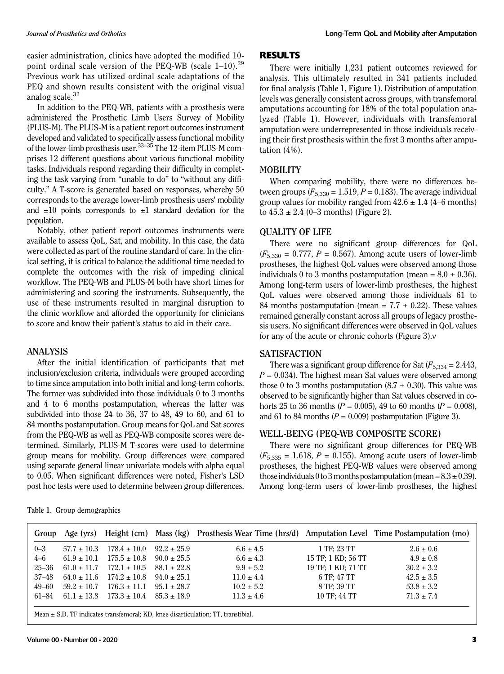easier administration, clinics have adopted the modified 10 point ordinal scale version of the PEQ-WB (scale  $1-10$ ).<sup>29</sup> Previous work has utilized ordinal scale adaptations of the PEQ and shown results consistent with the original visual analog scale. $32$ 

In addition to the PEQ-WB, patients with a prosthesis were administered the Prosthetic Limb Users Survey of Mobility (PLUS-M). The PLUS-M is a patient report outcomes instrument developed and validated to specifically assess functional mobility of the lower-limb prosthesis user.33–<sup>35</sup> The 12-item PLUS-M comprises 12 different questions about various functional mobility tasks. Individuals respond regarding their difficulty in completing the task varying from "unable to do" to "without any difficulty." A T-score is generated based on responses, whereby 50 corresponds to the average lower-limb prosthesis users' mobility and  $\pm 10$  points corresponds to  $\pm 1$  standard deviation for the population.

Notably, other patient report outcomes instruments were available to assess QoL, Sat, and mobility. In this case, the data were collected as part of the routine standard of care. In the clinical setting, it is critical to balance the additional time needed to complete the outcomes with the risk of impeding clinical workflow. The PEQ-WB and PLUS-M both have short times for administering and scoring the instruments. Subsequently, the use of these instruments resulted in marginal disruption to the clinic workflow and afforded the opportunity for clinicians to score and know their patient's status to aid in their care.

#### ANALYSIS

After the initial identification of participants that met inclusion/exclusion criteria, individuals were grouped according to time since amputation into both initial and long-term cohorts. The former was subdivided into those individuals 0 to 3 months and 4 to 6 months postamputation, whereas the latter was subdivided into those 24 to 36, 37 to 48, 49 to 60, and 61 to 84 months postamputation. Group means for QoL and Sat scores from the PEQ-WB as well as PEQ-WB composite scores were determined. Similarly, PLUS-M T-scores were used to determine group means for mobility. Group differences were compared using separate general linear univariate models with alpha equal to 0.05. When significant differences were noted, Fisher's LSD post hoc tests were used to determine between group differences.

#### RESULTS

There were initially 1,231 patient outcomes reviewed for analysis. This ultimately resulted in 341 patients included for final analysis (Table 1, Figure 1). Distribution of amputation levels was generally consistent across groups, with transfemoral amputations accounting for 18% of the total population analyzed (Table 1). However, individuals with transfemoral amputation were underrepresented in those individuals receiving their first prosthesis within the first 3 months after amputation (4%).

### MOBILITY

When comparing mobility, there were no differences between groups ( $F_{5,330} = 1.519, P = 0.183$ ). The average individual group values for mobility ranged from  $42.6 \pm 1.4$  (4–6 months) to  $45.3 \pm 2.4$  (0–3 months) (Figure 2).

#### QUALITY OF LIFE

There were no significant group differences for QoL  $(F_{5,330} = 0.777, P = 0.567)$ . Among acute users of lower-limb prostheses, the highest QoL values were observed among those individuals 0 to 3 months postamputation (mean =  $8.0 \pm 0.36$ ). Among long-term users of lower-limb prostheses, the highest QoL values were observed among those individuals 61 to 84 months postamputation (mean =  $7.7 \pm 0.22$ ). These values remained generally constant across all groups of legacy prosthesis users. No significant differences were observed in QoL values for any of the acute or chronic cohorts (Figure 3).v

# SATISFACTION

There was a significant group difference for Sat  $(F_{5,334} = 2.443,$  $P = 0.034$ ). The highest mean Sat values were observed among those 0 to 3 months postamputation  $(8.7 \pm 0.30)$ . This value was observed to be significantly higher than Sat values observed in cohorts 25 to 36 months ( $P = 0.005$ ), 49 to 60 months ( $P = 0.008$ ), and 61 to 84 months ( $P = 0.009$ ) postamputation (Figure 3).

# WELL-BEING (PEQ-WB COMPOSITE SCORE)

There were no significant group differences for PEQ-WB  $(F_{5,335} = 1.618, P = 0.155)$ . Among acute users of lower-limb prostheses, the highest PEQ-WB values were observed among those individuals 0 to 3 months postamputation (mean =  $8.3 \pm 0.39$ ). Among long-term users of lower-limb prostheses, the highest

|  |  | Table 1. Group demographics |
|--|--|-----------------------------|
|--|--|-----------------------------|

| Group     | Age (yrs)       |                                                  |                 | Height (cm) Mass (kg) Prosthesis Wear Time (hrs/d) Amputation Level Time Postamputation (mo) |                    |                |
|-----------|-----------------|--------------------------------------------------|-----------------|----------------------------------------------------------------------------------------------|--------------------|----------------|
| $0 - 3$   | $57.7 \pm 10.3$ | $178.4 \pm 10.0$                                 | $92.2 + 25.9$   | $6.6 \pm 4.5$                                                                                | 1 TF: 23 TT        | $2.6 \pm 0.6$  |
| $4 - 6$   |                 | $61.9 \pm 10.1$ $175.5 \pm 10.8$                 | $90.0 \pm 25.5$ | $6.6 \pm 4.3$                                                                                | 15 TF; 1 KD; 56 TT | $4.9 \pm 0.8$  |
| $25 - 36$ |                 | $61.0 \pm 11.7$ $172.1 \pm 10.5$ $88.1 \pm 22.8$ |                 | $9.9 \pm 5.2$                                                                                | 19 TF: 1 KD: 71 TT | $30.2 \pm 3.2$ |
| 37–48     |                 | $64.0 \pm 11.6$ $174.2 \pm 10.8$ $94.0 \pm 25.1$ |                 | $11.0 \pm 4.4$                                                                               | 6 TF: 47 TT        | $42.5 \pm 3.5$ |
| $49 - 60$ | $59.2 \pm 10.7$ | $176.3 \pm 11.1$ $95.1 \pm 28.7$                 |                 | $10.2 \pm 5.2$                                                                               | 8 TF: 39 TT        | $53.8 \pm 3.2$ |
| 61–84     |                 | $61.1 \pm 13.8$ $173.3 \pm 10.4$ $85.3 \pm 18.9$ |                 | $11.3 \pm 4.6$                                                                               | 10 TF: 44 TT       | $71.3 \pm 7.4$ |
|           |                 |                                                  |                 |                                                                                              |                    |                |

Mean  $\pm$  S.D. TF indicates transfemoral; KD, knee disarticulation; TT, transtibial.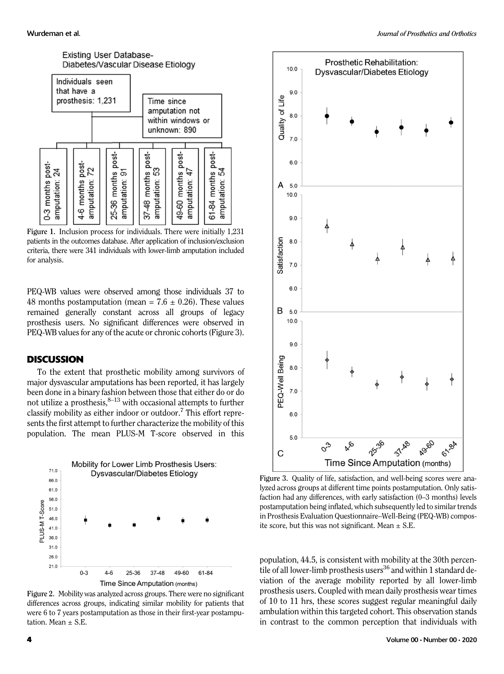

Figure 1. Inclusion process for individuals. There were initially 1,231 patients in the outcomes database. After application of inclusion/exclusion criteria, there were 341 individuals with lower-limb amputation included for analysis.

PEQ-WB values were observed among those individuals 37 to 48 months postamputation (mean =  $7.6 \pm 0.26$ ). These values remained generally constant across all groups of legacy prosthesis users. No significant differences were observed in PEQ-WB values for any of the acute or chronic cohorts (Figure 3).

### **DISCUSSION**

To the extent that prosthetic mobility among survivors of major dysvascular amputations has been reported, it has largely been done in a binary fashion between those that either do or do not utilize a prosthesis,  $8-13$  with occasional attempts to further classify mobility as either indoor or outdoor.<sup>7</sup> This effort represents the first attempt to further characterize the mobility of this population. The mean PLUS-M T-score observed in this



Figure 2. Mobility was analyzed across groups. There were no significant differences across groups, indicating similar mobility for patients that were 6 to 7 years postamputation as those in their first-year postamputation. Mean  $\pm$  S.E.



Figure 3. Quality of life, satisfaction, and well-being scores were analyzed across groups at different time points postamputation. Only satisfaction had any differences, with early satisfaction (0–3 months) levels postamputation being inflated, which subsequently led to similar trends in Prosthesis Evaluation Questionnaire–Well-Being (PEQ-WB) composite score, but this was not significant. Mean  $\pm$  S.E.

population, 44.5, is consistent with mobility at the 30th percentile of all lower-limb prosthesis users<sup>36</sup> and within 1 standard deviation of the average mobility reported by all lower-limb prosthesis users. Coupled with mean daily prosthesis wear times of 10 to 11 hrs, these scores suggest regular meaningful daily ambulation within this targeted cohort. This observation stands in contrast to the common perception that individuals with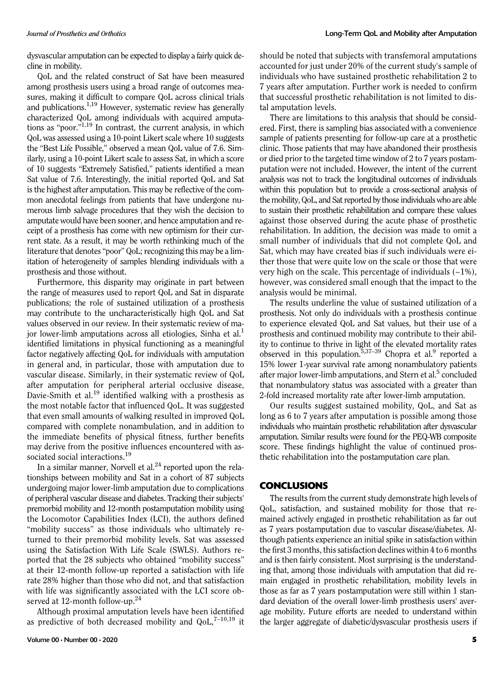dysvascular amputation can be expected to display a fairly quick decline in mobility.

QoL and the related construct of Sat have been measured among prosthesis users using a broad range of outcomes measures, making it difficult to compare QoL across clinical trials and publications.<sup>1,19</sup> However, systematic review has generally characterized QoL among individuals with acquired amputations as "poor." 1,19 In contrast, the current analysis, in which QoL was assessed using a 10-point Likert scale where 10 suggests the "Best Life Possible," observed a mean QoL value of 7.6. Similarly, using a 10-point Likert scale to assess Sat, in which a score of 10 suggests "Extremely Satisfied," patients identified a mean Sat value of 7.6. Interestingly, the initial reported QoL and Sat is the highest after amputation. This may be reflective of the common anecdotal feelings from patients that have undergone numerous limb salvage procedures that they wish the decision to amputate would have been sooner, and hence amputation and receipt of a prosthesis has come with new optimism for their current state. As a result, it may be worth rethinking much of the literature that denotes"poor" QoL; recognizing this may be a limitation of heterogeneity of samples blending individuals with a prosthesis and those without.

Furthermore, this disparity may originate in part between the range of measures used to report QoL and Sat in disparate publications; the role of sustained utilization of a prosthesis may contribute to the uncharacteristically high QoL and Sat values observed in our review. In their systematic review of major lower-limb amputations across all etiologies, Sinha et al.<sup>1</sup> identified limitations in physical functioning as a meaningful factor negatively affecting QoL for individuals with amputation in general and, in particular, those with amputation due to vascular disease. Similarly, in their systematic review of QoL after amputation for peripheral arterial occlusive disease, Davie-Smith et al.<sup>19</sup> identified walking with a prosthesis as the most notable factor that influenced QoL. It was suggested that even small amounts of walking resulted in improved QoL compared with complete nonambulation, and in addition to the immediate benefits of physical fitness, further benefits may derive from the positive influences encountered with associated social interactions.<sup>19</sup>

In a similar manner, Norvell et al. $24$  reported upon the relationships between mobility and Sat in a cohort of 87 subjects undergoing major lower-limb amputation due to complications of peripheral vascular disease and diabetes. Tracking their subjects' premorbid mobility and 12-month postamputation mobility using the Locomotor Capabilities Index (LCI), the authors defined "mobility success" as those individuals who ultimately returned to their premorbid mobility levels. Sat was assessed using the Satisfaction With Life Scale (SWLS). Authors reported that the 28 subjects who obtained "mobility success" at their 12-month follow-up reported a satisfaction with life rate 28% higher than those who did not, and that satisfaction with life was significantly associated with the LCI score observed at 12-month follow-up.<sup>24</sup>

Although proximal amputation levels have been identified as predictive of both decreased mobility and  $QoL$ ,  $7-10,19$  it should be noted that subjects with transfemoral amputations accounted for just under 20% of the current study's sample of individuals who have sustained prosthetic rehabilitation 2 to 7 years after amputation. Further work is needed to confirm that successful prosthetic rehabilitation is not limited to distal amputation levels.

There are limitations to this analysis that should be considered. First, there is sampling bias associated with a convenience sample of patients presenting for follow-up care at a prosthetic clinic. Those patients that may have abandoned their prosthesis or died prior to the targeted time window of 2 to 7 years postamputation were not included. However, the intent of the current analysis was not to track the longitudinal outcomes of individuals within this population but to provide a cross-sectional analysis of the mobility, QoL, and Sat reported by those individuals who are able to sustain their prosthetic rehabilitation and compare these values against those observed during the acute phase of prosthetic rehabilitation. In addition, the decision was made to omit a small number of individuals that did not complete QoL and Sat, which may have created bias if such individuals were either those that were quite low on the scale or those that were very high on the scale. This percentage of individuals  $(-1\%)$ , however, was considered small enough that the impact to the analysis would be minimal.

The results underline the value of sustained utilization of a prosthesis. Not only do individuals with a prosthesis continue to experience elevated QoL and Sat values, but their use of a prosthesis and continued mobility may contribute to their ability to continue to thrive in light of the elevated mortality rates observed in this population.<sup>5,37–39</sup> Chopra et al.<sup>9</sup> reported a 15% lower 1-year survival rate among nonambulatory patients after major lower-limb amputations, and Stern et al.<sup>5</sup> concluded that nonambulatory status was associated with a greater than 2-fold increased mortality rate after lower-limb amputation.

Our results suggest sustained mobility, QoL, and Sat as long as 6 to 7 years after amputation is possible among those individuals who maintain prosthetic rehabilitation after dysvascular amputation. Similar results were found for the PEQ-WB composite score. These findings highlight the value of continued prosthetic rehabilitation into the postamputation care plan.

# **CONCLUSIONS**

The results from the current study demonstrate high levels of QoL, satisfaction, and sustained mobility for those that remained actively engaged in prosthetic rehabilitation as far out as 7 years postamputation due to vascular disease/diabetes. Although patients experience an initial spike in satisfaction within the first 3 months, this satisfaction declines within 4 to 6 months and is then fairly consistent. Most surprising is the understanding that, among those individuals with amputation that did remain engaged in prosthetic rehabilitation, mobility levels in those as far as 7 years postamputation were still within 1 standard deviation of the overall lower-limb prosthesis users' average mobility. Future efforts are needed to understand within the larger aggregate of diabetic/dysvascular prosthesis users if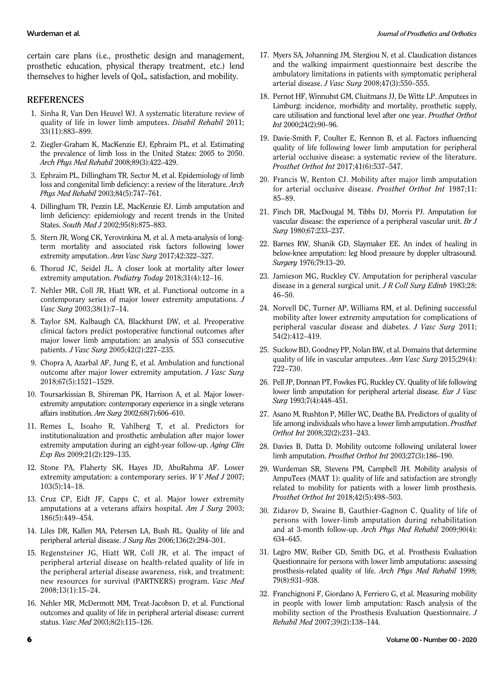certain care plans (i.e., prosthetic design and management, prosthetic education, physical therapy treatment, etc.) lend themselves to higher levels of QoL, satisfaction, and mobility.

# **REFERENCES**

- 1. Sinha R, Van Den Heuvel WJ. A systematic literature review of quality of life in lower limb amputees. Disabil Rehabil 2011; 33(11):883–899.
- 2. Ziegler-Graham K, MacKenzie EJ, Ephraim PL, et al. Estimating the prevalence of limb loss in the United States: 2005 to 2050. Arch Phys Med Rehabil 2008;89(3):422–429.
- 3. Ephraim PL, Dillingham TR, Sector M, et al. Epidemiology of limb loss and congenital limb deficiency: a review of the literature. Arch Phys Med Rehabil 2003;84(5):747–761.
- 4. Dillingham TR, Pezzin LE, MacKenzie EJ. Limb amputation and limb deficiency: epidemiology and recent trends in the United States. South Med J 2002;95(8):875–883.
- 5. Stern JR, Wong CK, Yerovinkina M, et al. A meta-analysis of longterm mortality and associated risk factors following lower extremity amputation. Ann Vasc Surg 2017;42:322–327.
- 6. Thorud JC, Seidel JL. A closer look at mortality after lower extremity amputation. Podiatry Today 2018;31(4):12–16.
- 7. Nehler MR, Coll JR, Hiatt WR, et al. Functional outcome in a contemporary series of major lower extremity amputations. J Vasc Surg 2003;38(1):7–14.
- 8. Taylor SM, Kalbaugh CA, Blackhurst DW, et al. Preoperative clinical factors predict postoperative functional outcomes after major lower limb amputation: an analysis of 553 consecutive patients. J Vasc Surg 2005;42(2):227–235.
- 9. Chopra A, Azarbal AF, Jung E, et al. Ambulation and functional outcome after major lower extremity amputation. J Vasc Surg 2018;67(5):1521–1529.
- 10. Toursarkissian B, Shireman PK, Harrison A, et al. Major lowerextremity amputation: contemporary experience in a single veterans affairs institution. Am Surg 2002;68(7):606–610.
- 11. Remes L, Isoaho R, Vahlberg T, et al. Predictors for institutionalization and prosthetic ambulation after major lower extremity amputation during an eight-year follow-up. Aging Clin Exp Res 2009;21(2):129–135.
- 12. Stone PA, Flaherty SK, Hayes JD, AbuRahma AF. Lower extremity amputation: a contemporary series. W V Med J 2007; 103(5):14–18.
- 13. Cruz CP, Eidt JF, Capps C, et al. Major lower extremity amputations at a veterans affairs hospital. Am J Surg 2003; 186(5):449–454.
- 14. Liles DR, Kallen MA, Petersen LA, Bush RL. Quality of life and peripheral arterial disease. J Surg Res 2006;136(2):294–301.
- 15. Regensteiner JG, Hiatt WR, Coll JR, et al. The impact of peripheral arterial disease on health-related quality of life in the peripheral arterial disease awareness, risk, and treatment: new resources for survival (PARTNERS) program. Vasc Med 2008;13(1):15–24.
- 16. Nehler MR, McDermott MM, Treat-Jacobson D, et al. Functional outcomes and quality of life in peripheral arterial disease: current status. Vasc Med 2003;8(2):115–126.
- 17. Myers SA, Johanning JM, Stergiou N, et al. Claudication distances and the walking impairment questionnaire best describe the ambulatory limitations in patients with symptomatic peripheral arterial disease. J Vasc Surg 2008;47(3):550–555.
- 18. Pernot HF, Winnubst GM, Cluitmans JJ, De Witte LP. Amputees in Limburg: incidence, morbidity and mortality, prosthetic supply, care utilisation and functional level after one year. Prosthet Orthot Int 2000;24(2):90–96.
- 19. Davie-Smith F, Coulter E, Kennon B, et al. Factors influencing quality of life following lower limb amputation for peripheral arterial occlusive disease: a systematic review of the literature. Prosthet Orthot Int 2017;41(6):537–547.
- 20. Francis W, Renton CJ. Mobility after major limb amputation for arterial occlusive disease. Prosthet Orthot Int 1987;11: 85–89.
- 21. Finch DR, MacDougal M, Tibbs DJ, Morris PJ. Amputation for vascular disease: the experience of a peripheral vascular unit. Br J Surg 1980;67:233–237.
- 22. Barnes RW, Shanik GD, Slaymaker EE. An index of healing in below-knee amputation: leg blood pressure by doppler ultrasound. Surgery 1976;79:13–20.
- 23. Jamieson MG, Ruckley CV. Amputation for peripheral vascular disease in a general surgical unit. J R Coll Surg Edinb 1983;28: 46–50.
- 24. Norvell DC, Turner AP, Williams RM, et al. Defining successful mobility after lower extremity amputation for complications of peripheral vascular disease and diabetes. J Vasc Surg 2011; 54(2):412–419.
- 25. Suckow BD, Goodney PP, Nolan BW, et al. Domains that determine quality of life in vascular amputees. Ann Vasc Surg 2015;29(4): 722–730.
- 26. Pell JP, Donnan PT, Fowkes FG, Ruckley CV. Quality of life following lower limb amputation for peripheral arterial disease. Eur J Vasc Surg 1993;7(4):448-451.
- 27. Asano M, Rushton P, Miller WC, Deathe BA. Predictors of quality of life among individuals who have a lower limb amputation. Prosthet Orthot Int 2008;32(2):231–243.
- 28. Davies B, Datta D. Mobility outcome following unilateral lower limb amputation. Prosthet Orthot Int 2003;27(3):186–190.
- 29. Wurdeman SR, Stevens PM, Campbell JH. Mobility analysis of AmpuTees (MAAT 1): quality of life and satisfaction are strongly related to mobility for patients with a lower limb prosthesis. Prosthet Orthot Int 2018;42(5):498–503.
- 30. Zidarov D, Swaine B, Gauthier-Gagnon C. Quality of life of persons with lower-limb amputation during rehabilitation and at 3-month follow-up. Arch Phys Med Rehabil 2009;90(4): 634–645.
- 31. Legro MW, Reiber GD, Smith DG, et al. Prosthesis Evaluation Questionnaire for persons with lower limb amputations: assessing prosthesis-related quality of life. Arch Phys Med Rehabil 1998; 79(8):931–938.
- 32. Franchignoni F, Giordano A, Ferriero G, et al. Measuring mobility in people with lower limb amputation: Rasch analysis of the mobility section of the Prosthesis Evaluation Questionnaire. J Rehabil Med 2007;39(2):138–144.